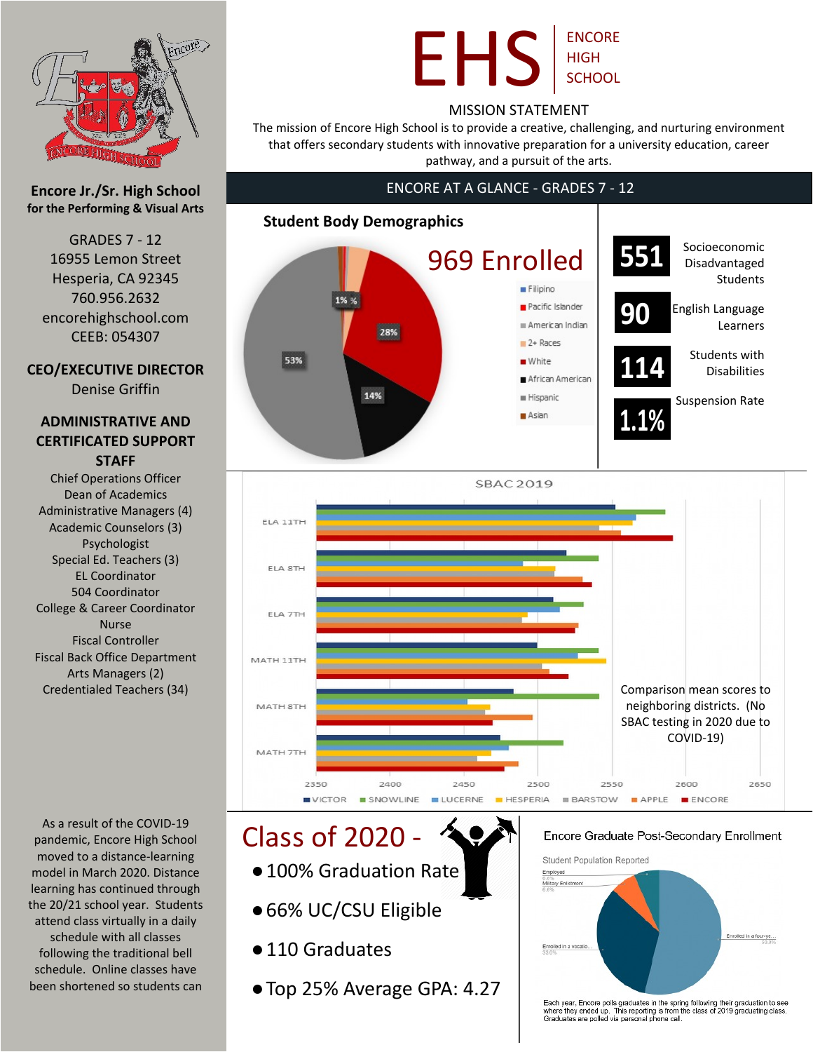

### **Encore Jr./Sr. High School for the Performing & Visual Arts**

GRADES 7 - 12 16955 Lemon Street Hesperia, CA 92345 760.956.2632 encorehighschool.com CEEB: 054307

### **CEO/EXECUTIVE DIRECTOR**

Denise Griffin

### **ADMINISTRATIVE AND CERTIFICATED SUPPORT STAFF**

Chief Operations Officer Dean of Academics Administrative Managers (4) Academic Counselors (3) Psychologist Special Ed. Teachers (3) EL Coordinator 504 Coordinator College & Career Coordinator Nurse Fiscal Controller Fiscal Back Office Department Arts Managers (2) Credentialed Teachers (34)

As a result of the COVID-19 pandemic, Encore High School moved to a distance-learning model in March 2020. Distance learning has continued through the 20/21 school year. Students attend class virtually in a daily schedule with all classes following the traditional bell schedule. Online classes have been shortened so students can

## EHS ENCORE HIGH **SCHOOL**

### MISSION STATEMENT

The mission of Encore High School is to provide a creative, challenging, and nurturing environment that offers secondary students with innovative preparation for a university education, career pathway, and a pursuit of the arts.

### ENCORE AT A GLANCE - GRADES 7 - 12





# Class of 2020 -

- ●100% Graduation Rate
- ●66% UC/CSU Eligible
- 110 Graduates
- ●Top 25% Average GPA: 4.27

#### Encore Graduate Post-Secondary Enrollment



Each year, Encore polls graduates in the spring following their graduation to see<br>where they ended up. This reporting is from the class of 2019 graduating class.<br>Graduates are polled via personal phone call.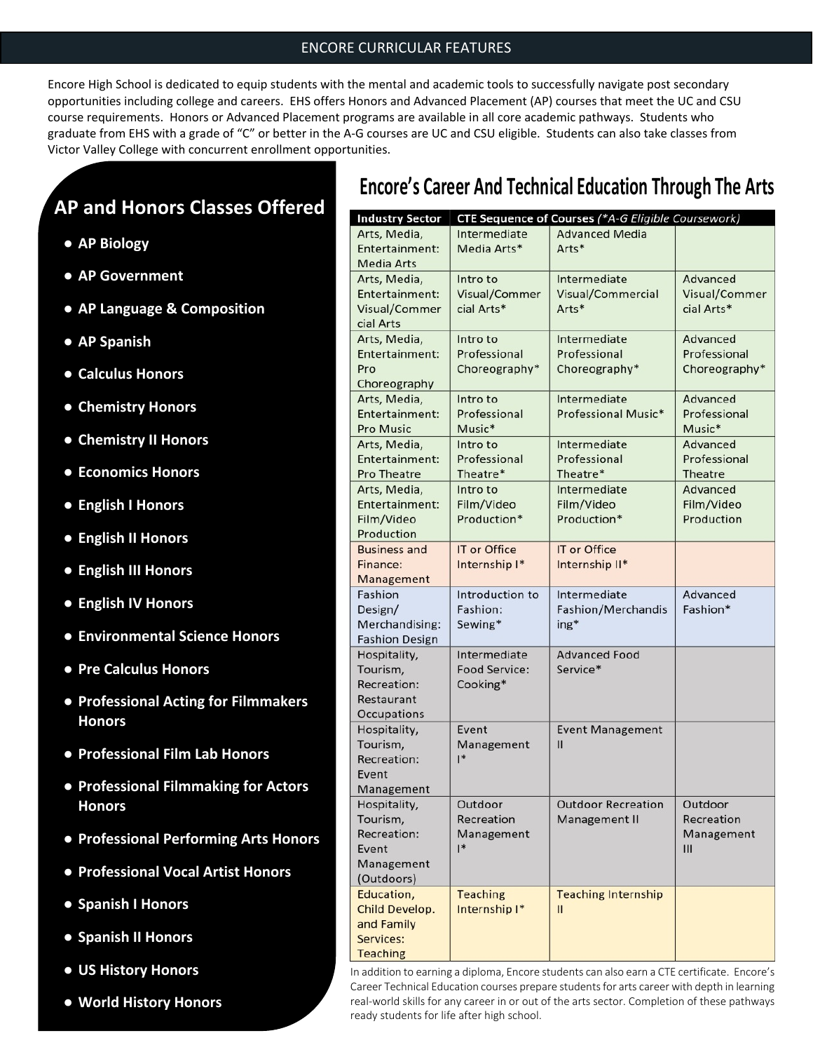### ENCORE CURRICULAR FEATURES

Encore High School is dedicated to equip students with the mental and academic tools to successfully navigate post secondary opportunities including college and careers. EHS offers Honors and Advanced Placement (AP) courses that meet the UC and CSU course requirements. Honors or Advanced Placement programs are available in all core academic pathways. Students who graduate from EHS with a grade of "C" or better in the A-G courses are UC and CSU eligible. Students can also take classes from Victor Valley College with concurrent enrollment opportunities.

### **AP and Honors Classes Offered**

- **● AP Biology**
- **● AP Government**
- **● AP Language & Composition**
- **● AP Spanish**
- **● Calculus Honors**
- **● Chemistry Honors**
- **● Chemistry II Honors**
- **● Economics Honors**
- **● English I Honors**
- **● English II Honors**
- **● English III Honors**
- **● English IV Honors**
- **● Environmental Science Honors**
- **● Pre Calculus Honors**
- **● Professional Acting for Filmmakers Honors**
- **● Professional Film Lab Honors**
- **● Professional Filmmaking for Actors Honors**
- **● Professional Performing Arts Honors**
- **● Professional Vocal Artist Honors**
- **● Spanish I Honors**
- **● Spanish II Honors**
- **● US History Honors**
- **● World History Honors**

### **Encore's Career And Technical Education Through The Arts**

| <b>Industry Sector</b> |                      | CTE Sequence of Courses (*A-G Eligible Coursework) |               |
|------------------------|----------------------|----------------------------------------------------|---------------|
| Arts, Media,           | Intermediate         | <b>Advanced Media</b>                              |               |
| Entertainment:         | Media Arts*          | Arts*                                              |               |
| <b>Media Arts</b>      |                      |                                                    |               |
| Arts, Media,           | Intro to             | Intermediate                                       | Advanced      |
| Entertainment:         | Visual/Commer        | Visual/Commercial                                  | Visual/Commer |
| Visual/Commer          | cial Arts*           | Arts*                                              | cial Arts*    |
| cial Arts              |                      |                                                    |               |
| Arts, Media,           | Intro to             | Intermediate                                       | Advanced      |
| Entertainment:         | Professional         | Professional                                       | Professional  |
| Pro                    | Choreography*        | Choreography*                                      | Choreography* |
| Choreography           |                      |                                                    |               |
| Arts, Media,           | Intro to             | Intermediate                                       | Advanced      |
| Entertainment:         | Professional         | Professional Music*                                | Professional  |
| <b>Pro Music</b>       | Music*               |                                                    | Music*        |
| Arts, Media,           | Intro to             | Intermediate                                       | Advanced      |
| Entertainment:         | Professional         | Professional                                       | Professional  |
| <b>Pro Theatre</b>     | Theatre*             | Theatre*                                           | Theatre       |
| Arts, Media,           | Intro to             | Intermediate                                       | Advanced      |
| Entertainment:         | Film/Video           | Film/Video                                         | Film/Video    |
| Film/Video             | Production*          | Production*                                        | Production    |
| Production             |                      |                                                    |               |
| <b>Business and</b>    | IT or Office         | IT or Office                                       |               |
| Finance:               | Internship I*        | Internship II*                                     |               |
| Management<br>Fashion  | Introduction to      | Intermediate                                       | Advanced      |
| Design/                | Fashion:             | Fashion/Merchandis                                 | Fashion*      |
| Merchandising:         | Sewing*              | ing*                                               |               |
| <b>Fashion Design</b>  |                      |                                                    |               |
| Hospitality,           | Intermediate         | <b>Advanced Food</b>                               |               |
| Tourism,               | <b>Food Service:</b> | Service*                                           |               |
| Recreation:            | Cooking*             |                                                    |               |
| Restaurant             |                      |                                                    |               |
| Occupations            |                      |                                                    |               |
| Hospitality,           | Event                | <b>Event Management</b>                            |               |
| Tourism,               | Management           | $\mathbf{I}$                                       |               |
| Recreation:            | $\mathsf{I}^*$       |                                                    |               |
| Event                  |                      |                                                    |               |
| Management             |                      |                                                    |               |
| Hospitality,           | Outdoor              | <b>Outdoor Recreation</b>                          | Outdoor       |
| Tourism,               | Recreation           | Management II                                      | Recreation    |
| Recreation:            | Management           |                                                    | Management    |
| Event                  | $\mathsf{I}^*$       |                                                    | III           |
| Management             |                      |                                                    |               |
| (Outdoors)             |                      |                                                    |               |
| Education,             | <b>Teaching</b>      | <b>Teaching Internship</b>                         |               |
| Child Develop.         | Internship I*        | $\mathbf{II}$                                      |               |
| and Family             |                      |                                                    |               |
| Services:              |                      |                                                    |               |
| <b>Teaching</b>        |                      |                                                    |               |

In addition to earning a diploma, Encore students can also earn a CTE certificate. Encore's Career Technical Education courses prepare students for arts career with depth in learning real-world skills for any career in or out of the arts sector. Completion of these pathways ready students for life after high school.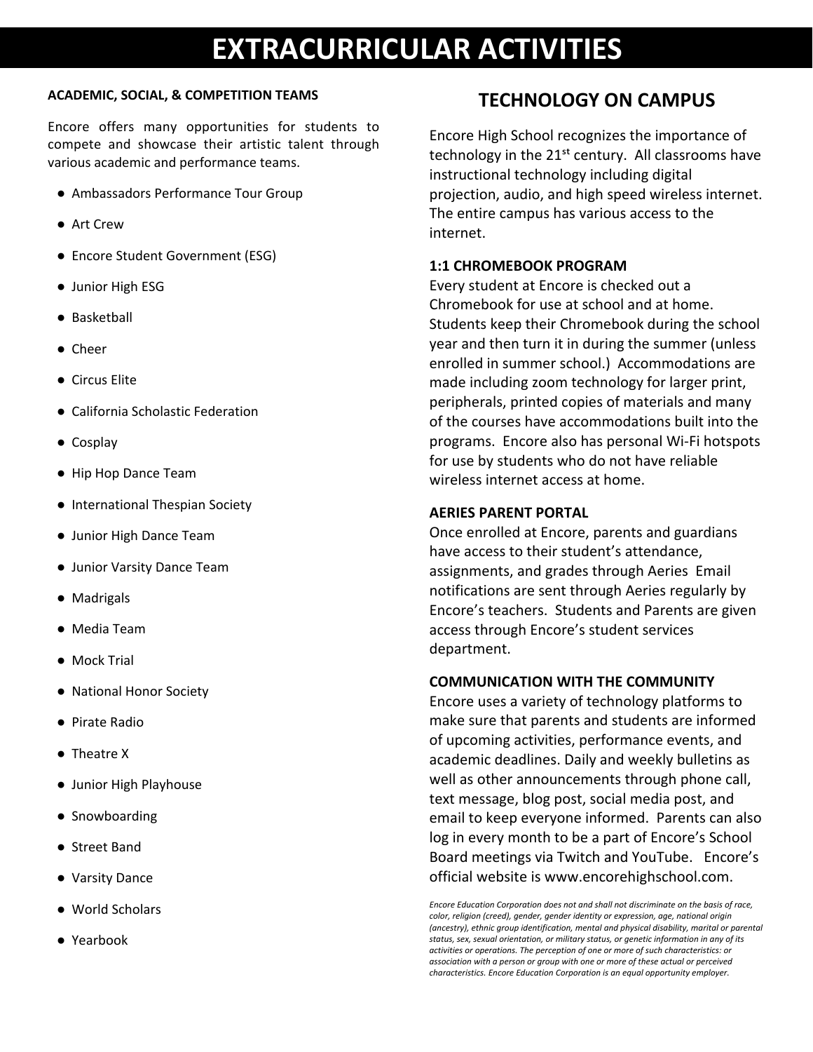# **EXTRACURRICULAR ACTIVITIES**

#### **ACADEMIC, SOCIAL, & COMPETITION TEAMS**

Encore offers many opportunities for students to compete and showcase their artistic talent through various academic and performance teams.

- Ambassadors Performance Tour Group
- Art Crew
- Encore Student Government (ESG)
- Junior High ESG
- Basketball
- Cheer
- Circus Elite
- California Scholastic Federation
- Cosplay
- Hip Hop Dance Team
- International Thespian Society
- Junior High Dance Team
- Junior Varsity Dance Team
- Madrigals
- Media Team
- Mock Trial
- National Honor Society
- Pirate Radio
- Theatre X
- Junior High Playhouse
- Snowboarding
- Street Band
- Varsity Dance
- World Scholars
- Yearbook

### **TECHNOLOGY ON CAMPUS**

Encore High School recognizes the importance of technology in the  $21<sup>st</sup>$  century. All classrooms have instructional technology including digital projection, audio, and high speed wireless internet. The entire campus has various access to the internet.

### **1:1 CHROMEBOOK PROGRAM**

Every student at Encore is checked out a Chromebook for use at school and at home. Students keep their Chromebook during the school year and then turn it in during the summer (unless enrolled in summer school.) Accommodations are made including zoom technology for larger print, peripherals, printed copies of materials and many of the courses have accommodations built into the programs. Encore also has personal Wi-Fi hotspots for use by students who do not have reliable wireless internet access at home.

### **AERIES PARENT PORTAL**

Once enrolled at Encore, parents and guardians have access to their student's attendance, assignments, and grades through Aeries Email notifications are sent through Aeries regularly by Encore's teachers. Students and Parents are given access through Encore's student services department.

#### **COMMUNICATION WITH THE COMMUNITY**

Encore uses a variety of technology platforms to make sure that parents and students are informed of upcoming activities, performance events, and academic deadlines. Daily and weekly bulletins as well as other announcements through phone call, text message, blog post, social media post, and email to keep everyone informed. Parents can also log in every month to be a part of Encore's School Board meetings via Twitch and YouTube. Encore's official website is www.encorehighschool.com.

*Encore Education Corporation does not and shall not discriminate on the basis of race, color, religion (creed), gender, gender identity or expression, age, national origin (ancestry), ethnic group identification, mental and physical disability, marital or parental status, sex, sexual orientation, or military status, or genetic information in any of its activities or operations. The perception of one or more of such characteristics: or association with a person or group with one or more of these actual or perceived characteristics. Encore Education Corporation is an equal opportunity employer.*